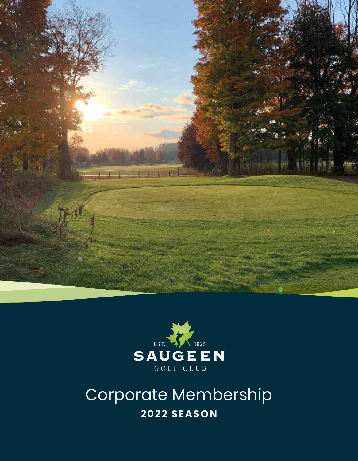



Corporate Membership **2022 SEASON**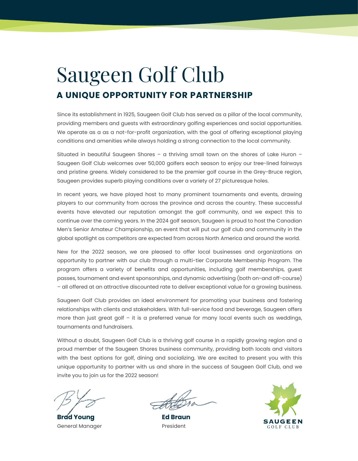# Saugeen Golf Club **A UNIQUE OPPORTUNITY FOR PARTNERSHIP**

Since its establishment in 1925, Saugeen Golf Club has served as a pillar of the local community, providing members and guests with extraordinary golfing experiences and social opportunities. We operate as a as a not-for-profit organization, with the goal of offering exceptional playing conditions and amenities while always holding a strong connection to the local community.

Situated in beautiful Saugeen Shores – a thriving small town on the shores of Lake Huron – Saugeen Golf Club welcomes over 50,000 golfers each season to enjoy our tree-lined fairways and pristine greens. Widely considered to be the premier golf course in the Grey-Bruce region, Saugeen provides superb playing conditions over a variety of 27 picturesque holes.

In recent years, we have played host to many prominent tournaments and events, drawing players to our community from across the province and across the country. These successful events have elevated our reputation amongst the golf community, and we expect this to continue over the coming years. In the 2024 golf season, Saugeen is proud to host the Canadian Men's Senior Amateur Championship, an event that will put our golf club and community in the global spotlight as competitors are expected from across North America and around the world.

New for the 2022 season, we are pleased to offer local businesses and organizations an opportunity to partner with our club through a multi-tier Corporate Membership Program. The program offers a variety of benefits and opportunities, including golf memberships, guest passes, tournament and event sponsorships, and dynamic advertising (both on-and off-course) – all offered at an attractive discounted rate to deliver exceptional value for a growing business.

Saugeen Golf Club provides an ideal environment for promoting your business and fostering relationships with clients and stakeholders. With full-service food and beverage, Saugeen offers more than just great golf – it is a preferred venue for many local events such as weddings, tournaments and fundraisers.

Without a doubt, Saugeen Golf Club is a thriving golf course in a rapidly growing region and a proud member of the Saugeen Shores business community, providing both locals and visitors with the best options for golf, dining and socializing. We are excited to present you with this unique opportunity to partner with us and share in the success of Saugeen Golf Club, and we invite you to join us for the 2022 season!

**Brad Young Ed Braun** General Manager **President** 

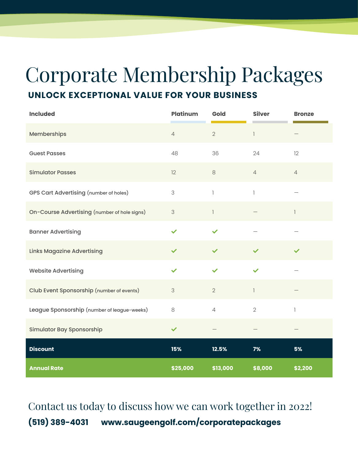# **UNLOCK EXCEPTIONAL VALUE FOR YOUR BUSINESS** Corporate Membership Packages

| <b>Included</b>                               | <b>Platinum</b> | Gold                           | <b>Silver</b>            | <b>Bronze</b>  |
|-----------------------------------------------|-----------------|--------------------------------|--------------------------|----------------|
| Memberships                                   | $\overline{4}$  | $\overline{2}$                 | $\mathbb{I}$             |                |
| <b>Guest Passes</b>                           | 48              | 36                             | 24                       | 12             |
| <b>Simulator Passes</b>                       | 12              | $\,8\,$                        | $\overline{4}$           | $\overline{4}$ |
| <b>GPS Cart Advertising (number of holes)</b> | 3               | $\begin{array}{c} \end{array}$ | $\overline{\phantom{a}}$ |                |
| On-Course Advertising (number of hole signs)  | $\mathsf 3$     | $\mathbf{1}$                   |                          |                |
| <b>Banner Advertising</b>                     | ✓               | $\checkmark$                   |                          |                |
| <b>Links Magazine Advertising</b>             | $\checkmark$    | $\checkmark$                   | $\checkmark$             | $\checkmark$   |
| <b>Website Advertising</b>                    | $\checkmark$    | $\checkmark$                   | $\checkmark$             |                |
| Club Event Sponsorship (number of events)     | $\mathsf 3$     | $\overline{2}$                 | 1                        |                |
| League Sponsorship (number of league-weeks)   | 8               | $\overline{4}$                 | $\overline{2}$           | $\mathbb{I}$   |
| <b>Simulator Bay Sponsorship</b>              | $\checkmark$    |                                |                          |                |
| <b>Discount</b>                               | 15%             | 12.5%                          | 7%                       | 5%             |
| <b>Annual Rate</b>                            | \$25,000        | \$13,000                       | \$8,000                  | \$2,200        |

Contact us today to discuss how we can work together in 2022! **(519) 389-4031 www.saugeengolf.com/corporatepackages**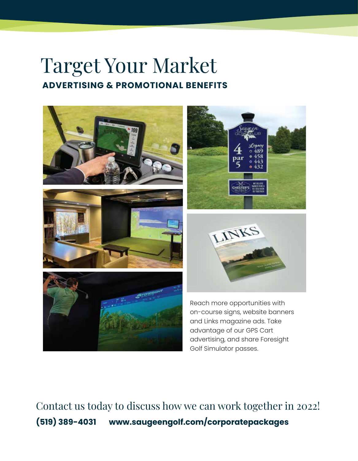## Target Your Market **ADVERTISING & PROMOTIONAL BENEFITS**







Reach more opportunities with on-course signs, website banners and Links magazine ads. Take advantage of our GPS Cart advertising, and share Foresight Golf Simulator passes.

Contact us today to discuss how we can work together in 2022! **(519) 389-4031 www.saugeengolf.com/corporatepackages**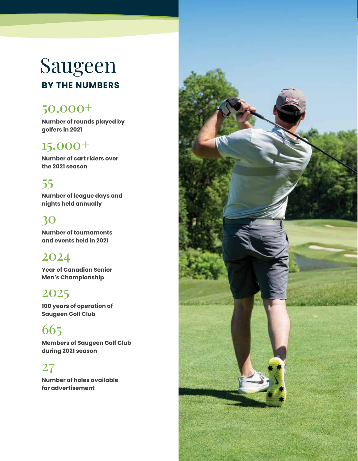# Saugeen **BY THE NUMBERS**

### 50,000+

**Number of rounds played by golfers in 2021**

### 15,000+

**Number of cart riders over the 2021 season**

## 55

**Number of league days and nights held annually**

#### 30

**Number of tournaments and events held in 2021**

#### 2024

**Year of Canadian Senior Men's Championship**

#### 2025

**100 years of operation of Saugeen Golf Club**

## 665

**Members of Saugeen Golf Club during 2021 season**

#### 27

**Number of holes available for advertisement**